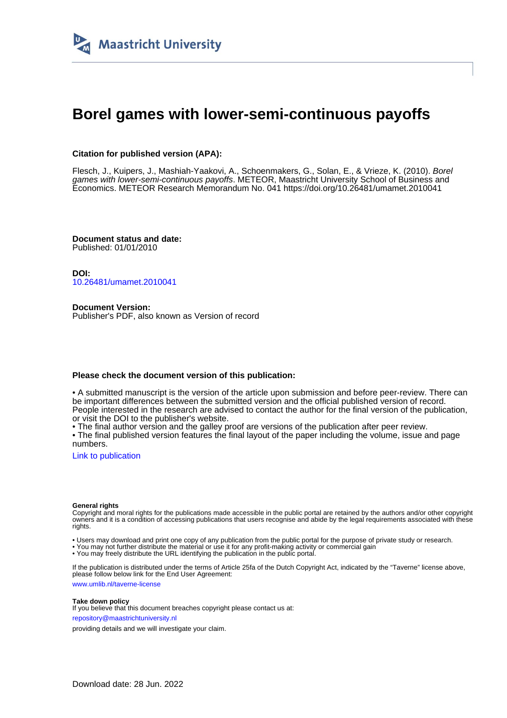

# **Borel games with lower-semi-continuous payoffs**

#### **Citation for published version (APA):**

Flesch, J., Kuipers, J., Mashiah-Yaakovi, A., Schoenmakers, G., Solan, E., & Vrieze, K. (2010). Borel games with lower-semi-continuous payoffs. METEOR, Maastricht University School of Business and Economics. METEOR Research Memorandum No. 041 <https://doi.org/10.26481/umamet.2010041>

**Document status and date:** Published: 01/01/2010

**DOI:** [10.26481/umamet.2010041](https://doi.org/10.26481/umamet.2010041)

**Document Version:** Publisher's PDF, also known as Version of record

#### **Please check the document version of this publication:**

• A submitted manuscript is the version of the article upon submission and before peer-review. There can be important differences between the submitted version and the official published version of record. People interested in the research are advised to contact the author for the final version of the publication, or visit the DOI to the publisher's website.

• The final author version and the galley proof are versions of the publication after peer review.

• The final published version features the final layout of the paper including the volume, issue and page numbers.

[Link to publication](https://cris.maastrichtuniversity.nl/en/publications/a8fcb183-3250-4351-a86f-3f19a5461dbc)

#### **General rights**

Copyright and moral rights for the publications made accessible in the public portal are retained by the authors and/or other copyright owners and it is a condition of accessing publications that users recognise and abide by the legal requirements associated with these rights.

• Users may download and print one copy of any publication from the public portal for the purpose of private study or research.

• You may not further distribute the material or use it for any profit-making activity or commercial gain

• You may freely distribute the URL identifying the publication in the public portal.

If the publication is distributed under the terms of Article 25fa of the Dutch Copyright Act, indicated by the "Taverne" license above, please follow below link for the End User Agreement:

www.umlib.nl/taverne-license

#### **Take down policy**

If you believe that this document breaches copyright please contact us at: repository@maastrichtuniversity.nl

providing details and we will investigate your claim.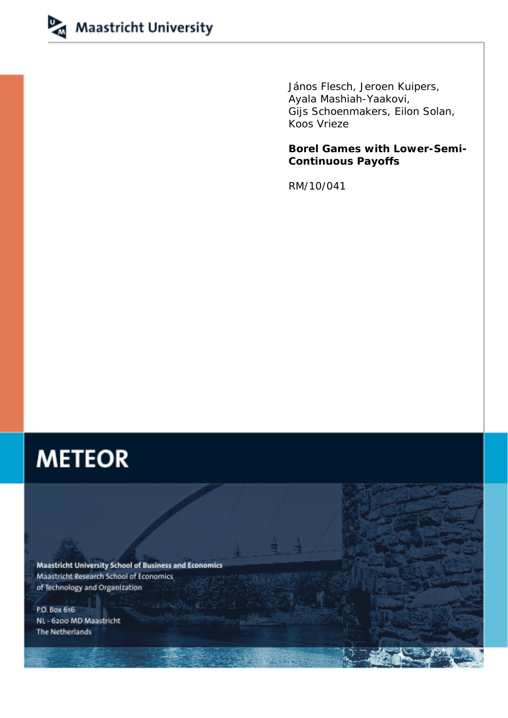

János Flesch, Jeroen Kuipers, Ayala Mashiah-Yaakovi, Gijs Schoenmakers, Eilon Solan, Koos Vrieze

**Borel Games with Lower-Semi-Continuous Payoffs** 

RM/10/041

# **METEOR**

**Maastricht University School of Business and Economics** Maastricht Research School of Economics of Technology and Organization

P.O. Box 616 NL - 6200 MD Maastricht The Netherlands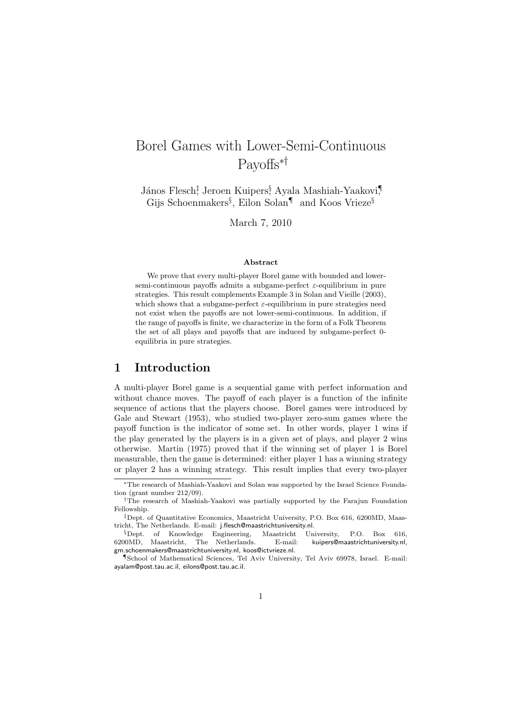# Borel Games with Lower-Semi-Continuous Payoffs∗†

János Flesch<sup>‡</sup>, Jeroen Kuipers<sup>§</sup> Ayala Mashiah-Yaakovi, Gijs Schoenmakers§ , Eilon Solan¶ and Koos Vrieze§

March 7, 2010

#### Abstract

We prove that every multi-player Borel game with bounded and lowersemi-continuous payoffs admits a subgame-perfect  $\varepsilon$ -equilibrium in pure strategies. This result complements Example 3 in Solan and Vieille (2003), which shows that a subgame-perfect  $\varepsilon$ -equilibrium in pure strategies need not exist when the payoffs are not lower-semi-continuous. In addition, if the range of payoffs is finite, we characterize in the form of a Folk Theorem the set of all plays and payoffs that are induced by subgame-perfect 0 equilibria in pure strategies.

# 1 Introduction

A multi-player Borel game is a sequential game with perfect information and without chance moves. The payoff of each player is a function of the infinite sequence of actions that the players choose. Borel games were introduced by Gale and Stewart (1953), who studied two-player zero-sum games where the payoff function is the indicator of some set. In other words, player 1 wins if the play generated by the players is in a given set of plays, and player 2 wins otherwise. Martin (1975) proved that if the winning set of player 1 is Borel measurable, then the game is determined: either player 1 has a winning strategy or player 2 has a winning strategy. This result implies that every two-player

<sup>∗</sup>The research of Mashiah-Yaakovi and Solan was supported by the Israel Science Foundation (grant number 212/09).

<sup>†</sup>The research of Mashiah-Yaakovi was partially supported by the Farajun Foundation Fellowship.

<sup>‡</sup>Dept. of Quantitative Economics, Maastricht University, P.O. Box 616, 6200MD, Maastricht, The Netherlands. E-mail: j.flesch@maastrichtuniversity.nl.

 ${}^{\S}$ Dept. of Knowledge Engineering, Maastricht University, P.O. Box 616, 00MD, Maastricht, The Netherlands. E-mail: kuipers@maastrichtuniversity.nl. 6200MD, Maastricht, The Netherlands. E-mail: kuipers@maastrichtuniversity.nl, gm.schoenmakers@maastrichtuniversity.nl, koos@ictvrieze.nl.

<sup>¶</sup>School of Mathematical Sciences, Tel Aviv University, Tel Aviv 69978, Israel. E-mail: ayalam@post.tau.ac.il, eilons@post.tau.ac.il.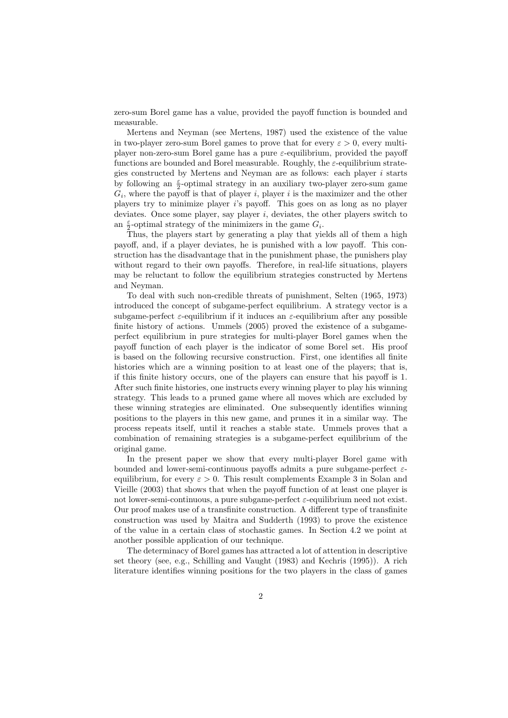zero-sum Borel game has a value, provided the payoff function is bounded and measurable.

Mertens and Neyman (see Mertens, 1987) used the existence of the value in two-player zero-sum Borel games to prove that for every  $\varepsilon > 0$ , every multiplayer non-zero-sum Borel game has a pure  $\varepsilon$ -equilibrium, provided the payoff functions are bounded and Borel measurable. Roughly, the  $\varepsilon$ -equilibrium strategies constructed by Mertens and Neyman are as follows: each player i starts by following an  $\frac{\varepsilon}{2}$ -optimal strategy in an auxiliary two-player zero-sum game  $G_i$ , where the payoff is that of player i, player i is the maximizer and the other players try to minimize player i's payoff. This goes on as long as no player deviates. Once some player, say player  $i$ , deviates, the other players switch to an  $\frac{\varepsilon}{2}$ -optimal strategy of the minimizers in the game  $G_i$ .

Thus, the players start by generating a play that yields all of them a high payoff, and, if a player deviates, he is punished with a low payoff. This construction has the disadvantage that in the punishment phase, the punishers play without regard to their own payoffs. Therefore, in real-life situations, players may be reluctant to follow the equilibrium strategies constructed by Mertens and Neyman.

To deal with such non-credible threats of punishment, Selten (1965, 1973) introduced the concept of subgame-perfect equilibrium. A strategy vector is a subgame-perfect  $\varepsilon$ -equilibrium if it induces an  $\varepsilon$ -equilibrium after any possible finite history of actions. Ummels (2005) proved the existence of a subgameperfect equilibrium in pure strategies for multi-player Borel games when the payoff function of each player is the indicator of some Borel set. His proof is based on the following recursive construction. First, one identifies all finite histories which are a winning position to at least one of the players; that is, if this finite history occurs, one of the players can ensure that his payoff is 1. After such finite histories, one instructs every winning player to play his winning strategy. This leads to a pruned game where all moves which are excluded by these winning strategies are eliminated. One subsequently identifies winning positions to the players in this new game, and prunes it in a similar way. The process repeats itself, until it reaches a stable state. Ummels proves that a combination of remaining strategies is a subgame-perfect equilibrium of the original game.

In the present paper we show that every multi-player Borel game with bounded and lower-semi-continuous payoffs admits a pure subgame-perfect  $\varepsilon$ equilibrium, for every  $\varepsilon > 0$ . This result complements Example 3 in Solan and Vieille (2003) that shows that when the payoff function of at least one player is not lower-semi-continuous, a pure subgame-perfect  $\varepsilon$ -equilibrium need not exist. Our proof makes use of a transfinite construction. A different type of transfinite construction was used by Maitra and Sudderth (1993) to prove the existence of the value in a certain class of stochastic games. In Section 4.2 we point at another possible application of our technique.

The determinacy of Borel games has attracted a lot of attention in descriptive set theory (see, e.g., Schilling and Vaught (1983) and Kechris (1995)). A rich literature identifies winning positions for the two players in the class of games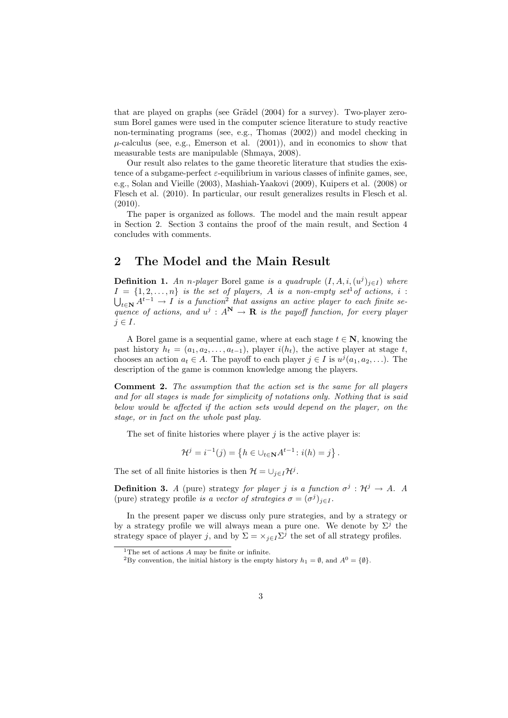that are played on graphs (see Grädel  $(2004)$  for a survey). Two-player zerosum Borel games were used in the computer science literature to study reactive non-terminating programs (see, e.g., Thomas (2002)) and model checking in  $\mu$ -calculus (see, e.g., Emerson et al. (2001)), and in economics to show that measurable tests are manipulable (Shmaya, 2008).

Our result also relates to the game theoretic literature that studies the existence of a subgame-perfect  $\varepsilon$ -equilibrium in various classes of infinite games, see, e.g., Solan and Vieille (2003), Mashiah-Yaakovi (2009), Kuipers et al. (2008) or Flesch et al. (2010). In particular, our result generalizes results in Flesch et al.  $(2010)$ .

The paper is organized as follows. The model and the main result appear in Section 2. Section 3 contains the proof of the main result, and Section 4 concludes with comments.

# 2 The Model and the Main Result

**Definition 1.** An n-player Borel game is a quadruple  $(I, A, i, (u^j)_{j \in I})$  where  $I = \{1, 2, \ldots, n\}$  is the set of players, A is a non-empty set<sup>1</sup> of actions, i :  $\bigcup_{t\in\mathbf{N}}A^{t-1}\to I$  is a function<sup>2</sup> that assigns an active player to each finite sequence of actions, and  $u^j : A^N \to \mathbf{R}$  is the payoff function, for every player  $j \in I$ .

A Borel game is a sequential game, where at each stage  $t \in \mathbb{N}$ , knowing the past history  $h_t = (a_1, a_2, \ldots, a_{t-1})$ , player  $i(h_t)$ , the active player at stage t, chooses an action  $a_t \in A$ . The payoff to each player  $j \in I$  is  $u^j(a_1, a_2, \ldots)$ . The description of the game is common knowledge among the players.

Comment 2. The assumption that the action set is the same for all players and for all stages is made for simplicity of notations only. Nothing that is said below would be affected if the action sets would depend on the player, on the stage, or in fact on the whole past play.

The set of finite histories where player  $j$  is the active player is:

$$
\mathcal{H}^{j} = i^{-1}(j) = \{ h \in \bigcup_{t \in \mathbf{N}} A^{t-1} : i(h) = j \}.
$$

The set of all finite histories is then  $\mathcal{H} = \cup_{j \in I} \mathcal{H}^j$ .

**Definition 3.** A (pure) strategy for player j is a function  $\sigma^j : \mathcal{H}^j \to A$ . A (pure) strategy profile is a vector of strategies  $\sigma = (\sigma^j)_{j \in I}$ .

In the present paper we discuss only pure strategies, and by a strategy or by a strategy profile we will always mean a pure one. We denote by  $\Sigma^j$  the strategy space of player j, and by  $\Sigma = \times_{j \in I} \Sigma^j$  the set of all strategy profiles.

<sup>&</sup>lt;sup>1</sup>The set of actions  $A$  may be finite or infinite.

<sup>&</sup>lt;sup>2</sup>By convention, the initial history is the empty history  $h_1 = \emptyset$ , and  $A^0 = {\emptyset}$ .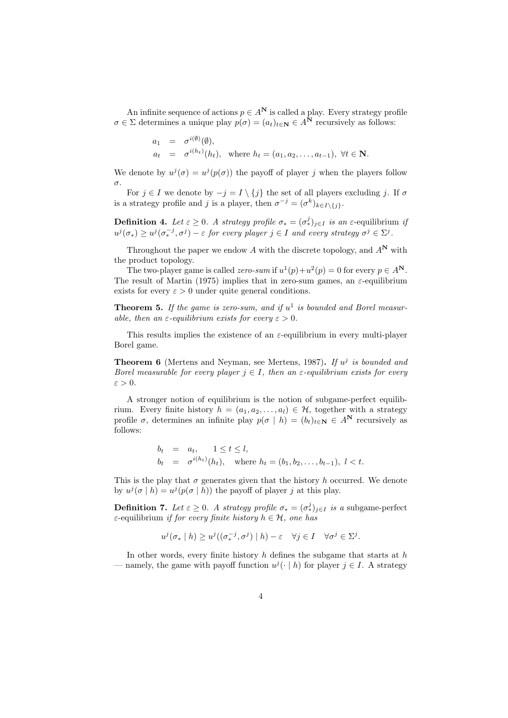An infinite sequence of actions  $p \in A^N$  is called a play. Every strategy profile  $\sigma \in \Sigma$  determines a unique play  $p(\sigma) = (a_t)_{t \in \mathbb{N}} \in A^{\mathbb{N}}$  recursively as follows:

$$
a_1 = \sigma^{i(\emptyset)}(\emptyset),
$$
  
\n
$$
a_t = \sigma^{i(h_t)}(h_t), \text{ where } h_t = (a_1, a_2, \dots, a_{t-1}), \forall t \in \mathbb{N}.
$$

We denote by  $u^j(\sigma) = u^j(p(\sigma))$  the payoff of player j when the players follow σ.

For  $j \in I$  we denote by  $-j = I \setminus \{j\}$  the set of all players excluding j. If  $\sigma$ is a strategy profile and j is a player, then  $\sigma^{-j} = (\sigma^k)_{k \in I \setminus \{j\}}$ .

**Definition 4.** Let  $\varepsilon \geq 0$ . A strategy profile  $\sigma_* = (\sigma_*^j)_{j \in I}$  is an  $\varepsilon$ -equilibrium if  $u^j(\sigma_*) \geq u^j(\sigma_*^{-j}, \sigma^j) - \varepsilon$  for every player  $j \in I$  and every strategy  $\sigma^j \in \Sigma^j$ .

Throughout the paper we endow A with the discrete topology, and  $A^N$  with the product topology.

The two-player game is called *zero-sum* if  $u^1(p)+u^2(p) = 0$  for every  $p \in A^N$ . The result of Martin (1975) implies that in zero-sum games, an  $\varepsilon$ -equilibrium exists for every  $\varepsilon > 0$  under quite general conditions.

**Theorem 5.** If the game is zero-sum, and if  $u^1$  is bounded and Borel measurable, then an  $\varepsilon$ -equilibrium exists for every  $\varepsilon > 0$ .

This results implies the existence of an  $\varepsilon$ -equilibrium in every multi-player Borel game.

**Theorem 6** (Mertens and Neyman, see Mertens, 1987). If  $u^j$  is bounded and Borel measurable for every player  $j \in I$ , then an  $\varepsilon$ -equilibrium exists for every  $\varepsilon > 0$ .

A stronger notion of equilibrium is the notion of subgame-perfect equilibrium. Every finite history  $h = (a_1, a_2, \ldots, a_l) \in \mathcal{H}$ , together with a strategy profile  $\sigma$ , determines an infinite play  $p(\sigma | h) = (b_t)_{t \in \mathbb{N}} \in A^{\mathbb{N}}$  recursively as follows:

$$
b_t = a_t, \quad 1 \le t \le l,
$$
  
\n
$$
b_t = \sigma^{i(h_t)}(h_t), \quad \text{where } h_t = (b_1, b_2, \dots, b_{t-1}), \ l < t.
$$

This is the play that  $\sigma$  generates given that the history h occurred. We denote by  $u^j(\sigma | h) = u^j(p(\sigma | h))$  the payoff of player j at this play.

**Definition 7.** Let  $\varepsilon \geq 0$ . A strategy profile  $\sigma_* = (\sigma_*^j)_{j \in I}$  is a subgame-perfect ε-equilibrium *if for every finite history*  $h \in H$ , one has

$$
u^j(\sigma_* \mid h) \geq u^j((\sigma_*^{-j}, \sigma^j) \mid h) - \varepsilon \quad \forall j \in I \quad \forall \sigma^j \in \Sigma^j.
$$

In other words, every finite history  $h$  defines the subgame that starts at  $h$ — namely, the game with payoff function  $u^{j}(\cdot | h)$  for player  $j \in I$ . A strategy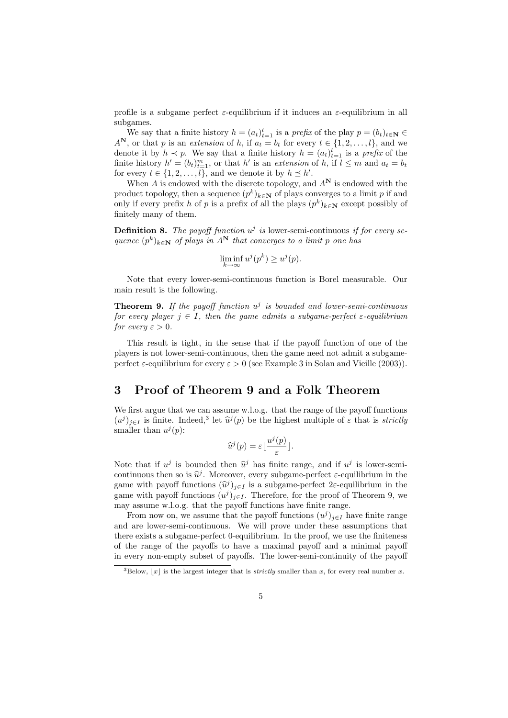profile is a subgame perfect  $\varepsilon$ -equilibrium if it induces an  $\varepsilon$ -equilibrium in all subgames.

We say that a finite history  $h = (a_t)_{t=1}^l$  is a prefix of the play  $p = (b_t)_{t \in \mathbb{N}} \in$  $A^N$ , or that p is an extension of h, if  $a_t = b_t$  for every  $t \in \{1, 2, ..., l\}$ , and we denote it by  $h \prec p$ . We say that a finite history  $h = (a_t)_{t=1}^l$  is a prefix of the finite history  $h' = (b_t)_{t=1}^m$ , or that h' is an extension of h, if  $l \leq m$  and  $a_t = b_t$ for every  $t \in \{1, 2, ..., l\}$ , and we denote it by  $h \preceq h'$ .

When A is endowed with the discrete topology, and  $A^N$  is endowed with the product topology, then a sequence  $(p^k)_{k \in \mathbb{N}}$  of plays converges to a limit p if and only if every prefix h of p is a prefix of all the plays  $(p^k)_{k \in \mathbb{N}}$  except possibly of finitely many of them.

**Definition 8.** The payoff function  $u^j$  is lower-semi-continuous if for every sequence  $(p^k)_{k \in \mathbb{N}}$  of plays in  $A^N$  that converges to a limit p one has

$$
\liminf_{k \to \infty} u^j(p^k) \ge u^j(p).
$$

Note that every lower-semi-continuous function is Borel measurable. Our main result is the following.

**Theorem 9.** If the payoff function  $u^j$  is bounded and lower-semi-continuous for every player  $j \in I$ , then the game admits a subgame-perfect  $\varepsilon$ -equilibrium for every  $\varepsilon > 0$ .

This result is tight, in the sense that if the payoff function of one of the players is not lower-semi-continuous, then the game need not admit a subgameperfect  $\varepsilon$ -equilibrium for every  $\varepsilon > 0$  (see Example 3 in Solan and Vieille (2003)).

# 3 Proof of Theorem 9 and a Folk Theorem

We first argue that we can assume w.l.o.g. that the range of the payoff functions  $(u^j)_{j\in I}$  is finite. Indeed,<sup>3</sup> let  $\hat{u}^j(p)$  be the highest multiple of  $\varepsilon$  that is *strictly*<br>smaller than  $u^j(n)$ : smaller than  $u^j(p)$ :

$$
\widehat{u}^{j}(p) = \varepsilon \lfloor \frac{u^{j}(p)}{\varepsilon} \rfloor.
$$

Note that if  $u^j$  is bounded then  $\hat{u}^j$  has finite range, and if  $u^j$  is lower-semi-<br>continuous then so is  $\hat{u}^j$ . Moreover, every subgroup perfect a equilibrium in the continuous then so is  $\hat{u}^j$ . Moreover, every subgame-perfect  $\varepsilon$ -equilibrium in the game with payoff functions  $(\hat{u}^j)_{j\in I}$  is a subgame-perfect 2ε-equilibrium in the game with payoff functions  $(u^j)_{j\in I}$ . Therefore, for the proof of Theorem 9, we game with payoff functions  $(u^j)_{j\in I}$ . Therefore, for the proof of Theorem 9, we may assume w.l.o.g. that the payoff functions have finite range.

From now on, we assume that the payoff functions  $(u^j)_{j\in I}$  have finite range and are lower-semi-continuous. We will prove under these assumptions that there exists a subgame-perfect 0-equilibrium. In the proof, we use the finiteness of the range of the payoffs to have a maximal payoff and a minimal payoff in every non-empty subset of payoffs. The lower-semi-continuity of the payoff

<sup>&</sup>lt;sup>3</sup>Below,  $|x|$  is the largest integer that is *strictly* smaller than x, for every real number x.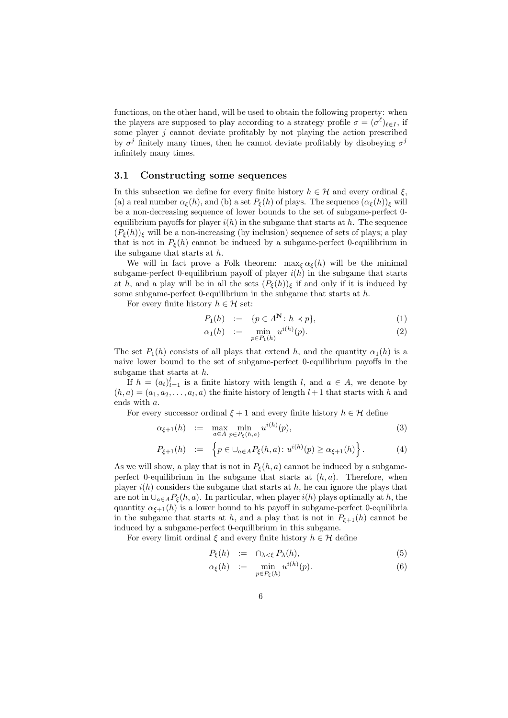functions, on the other hand, will be used to obtain the following property: when the players are supposed to play according to a strategy profile  $\sigma = (\sigma^{\ell})_{\ell \in I}$ , if some player  $j$  cannot deviate profitably by not playing the action prescribed by  $\sigma^j$  finitely many times, then he cannot deviate profitably by disobeying  $\sigma^j$ infinitely many times.

#### 3.1 Constructing some sequences

In this subsection we define for every finite history  $h \in \mathcal{H}$  and every ordinal  $\xi$ , (a) a real number  $\alpha_{\xi}(h)$ , and (b) a set  $P_{\xi}(h)$  of plays. The sequence  $(\alpha_{\xi}(h))_{\xi}$  will be a non-decreasing sequence of lower bounds to the set of subgame-perfect 0 equilibrium payoffs for player  $i(h)$  in the subgame that starts at h. The sequence  $(P_{\xi}(h))_{\xi}$  will be a non-increasing (by inclusion) sequence of sets of plays; a play that is not in  $P_{\xi}(h)$  cannot be induced by a subgame-perfect 0-equilibrium in the subgame that starts at h.

We will in fact prove a Folk theorem:  $\max_{\xi} \alpha_{\xi}(h)$  will be the minimal subgame-perfect 0-equilibrium payoff of player  $i(h)$  in the subgame that starts at h, and a play will be in all the sets  $(P_{\xi}(h))_{\xi}$  if and only if it is induced by some subgame-perfect 0-equilibrium in the subgame that starts at  $h$ .

For every finite history  $h \in \mathcal{H}$  set:

$$
P_1(h) := \{ p \in A^{\mathbf{N}} \colon h \prec p \},\tag{1}
$$

$$
\alpha_1(h) := \min_{p \in P_1(h)} u^{i(h)}(p). \tag{2}
$$

The set  $P_1(h)$  consists of all plays that extend h, and the quantity  $\alpha_1(h)$  is a naive lower bound to the set of subgame-perfect 0-equilibrium payoffs in the subgame that starts at  $h$ .

If  $h = (a_t)_{t=1}^l$  is a finite history with length l, and  $a \in A$ , we denote by  $(h, a) = (a_1, a_2, \dots, a_l, a)$  the finite history of length  $l+1$  that starts with h and ends with a.

For every successor ordinal  $\xi + 1$  and every finite history  $h \in \mathcal{H}$  define

$$
\alpha_{\xi+1}(h) \quad := \quad \max_{a \in A} \min_{p \in P_{\xi}(h,a)} u^{i(h)}(p), \tag{3}
$$

$$
P_{\xi+1}(h) := \left\{ p \in \cup_{a \in A} P_{\xi}(h, a) : u^{i(h)}(p) \ge \alpha_{\xi+1}(h) \right\}.
$$
 (4)

As we will show, a play that is not in  $P_{\xi}(h, a)$  cannot be induced by a subgameperfect 0-equilibrium in the subgame that starts at  $(h, a)$ . Therefore, when player  $i(h)$  considers the subgame that starts at h, he can ignore the plays that are not in  $\bigcup_{a\in A}P_{\xi}(h,a)$ . In particular, when player  $i(h)$  plays optimally at h, the quantity  $\alpha_{\xi+1}(h)$  is a lower bound to his payoff in subgame-perfect 0-equilibria in the subgame that starts at h, and a play that is not in  $P_{\xi+1}(h)$  cannot be induced by a subgame-perfect 0-equilibrium in this subgame.

For every limit ordinal  $\xi$  and every finite history  $h \in \mathcal{H}$  define

$$
P_{\xi}(h) := \cap_{\lambda < \xi} P_{\lambda}(h), \tag{5}
$$

$$
\alpha_{\xi}(h) \quad := \quad \min_{p \in P_{\xi}(h)} u^{i(h)}(p). \tag{6}
$$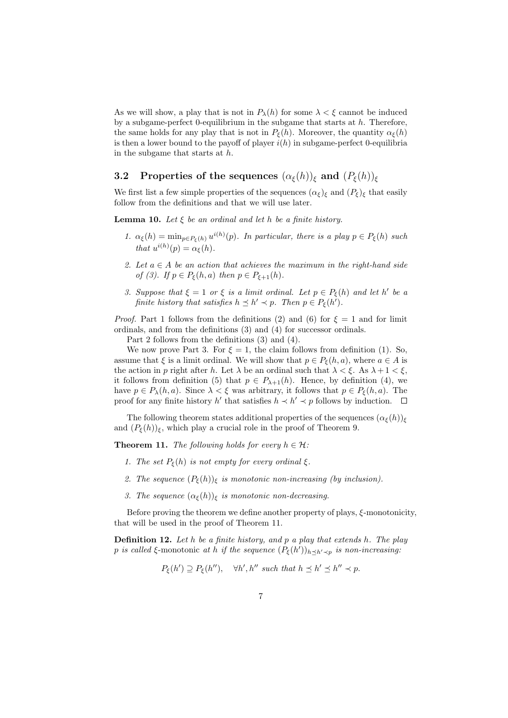As we will show, a play that is not in  $P_{\lambda}(h)$  for some  $\lambda < \xi$  cannot be induced by a subgame-perfect 0-equilibrium in the subgame that starts at  $h$ . Therefore, the same holds for any play that is not in  $P_{\xi}(h)$ . Moreover, the quantity  $\alpha_{\xi}(h)$ is then a lower bound to the payoff of player  $i(h)$  in subgame-perfect 0-equilibria in the subgame that starts at h.

# 3.2 Properties of the sequences  $(\alpha_{\xi}(h))_{\xi}$  and  $(P_{\xi}(h))_{\xi}$

We first list a few simple properties of the sequences  $(\alpha_{\xi})_{\xi}$  and  $(P_{\xi})_{\xi}$  that easily follow from the definitions and that we will use later.

**Lemma 10.** Let  $\xi$  be an ordinal and let h be a finite history.

- 1.  $\alpha_{\xi}(h) = \min_{p \in P_{\xi}(h)} u^{i(h)}(p)$ . In particular, there is a play  $p \in P_{\xi}(h)$  such that  $u^{i(h)}(p) = \alpha_{\xi}(h)$ .
- 2. Let  $a \in A$  be an action that achieves the maximum in the right-hand side of (3). If  $p \in P_{\xi}(h, a)$  then  $p \in P_{\xi+1}(h)$ .
- 3. Suppose that  $\xi = 1$  or  $\xi$  is a limit ordinal. Let  $p \in P_{\xi}(h)$  and let h' be a finite history that satisfies  $h \preceq h' \prec p$ . Then  $p \in P_{\xi}(h')$ .

*Proof.* Part 1 follows from the definitions (2) and (6) for  $\xi = 1$  and for limit ordinals, and from the definitions (3) and (4) for successor ordinals.

Part 2 follows from the definitions (3) and (4).

We now prove Part 3. For  $\xi = 1$ , the claim follows from definition (1). So, assume that  $\xi$  is a limit ordinal. We will show that  $p \in P_{\xi}(h, a)$ , where  $a \in A$  is the action in p right after h. Let  $\lambda$  be an ordinal such that  $\lambda < \xi$ . As  $\lambda + 1 < \xi$ , it follows from definition (5) that  $p \in P_{\lambda+1}(h)$ . Hence, by definition (4), we have  $p \in P_{\lambda}(h, a)$ . Since  $\lambda < \xi$  was arbitrary, it follows that  $p \in P_{\xi}(h, a)$ . The proof for any finite history h' that satisfies  $h \prec h' \prec p$  follows by induction.  $\Box$ 

The following theorem states additional properties of the sequences  $(\alpha_{\xi}(h))_{\xi}$ and  $(P_{\xi}(h))_{\xi}$ , which play a crucial role in the proof of Theorem 9.

**Theorem 11.** The following holds for every  $h \in \mathcal{H}$ :

- 1. The set  $P_{\xi}(h)$  is not empty for every ordinal  $\xi$ .
- 2. The sequence  $(P_{\xi}(h))_{\xi}$  is monotonic non-increasing (by inclusion).
- 3. The sequence  $(\alpha_{\xi}(h))_{\xi}$  is monotonic non-decreasing.

Before proving the theorem we define another property of plays,  $\xi$ -monotonicity, that will be used in the proof of Theorem 11.

**Definition 12.** Let  $h$  be a finite history, and  $p$  a play that extends  $h$ . The play p is called ξ-monotonic at h if the sequence  $(P_{\xi}(h'))_{h \preceq h' \prec p}$  is non-increasing:

$$
P_{\xi}(h') \supseteq P_{\xi}(h''), \quad \forall h', h'' \text{ such that } h \preceq h' \preceq h'' \prec p.
$$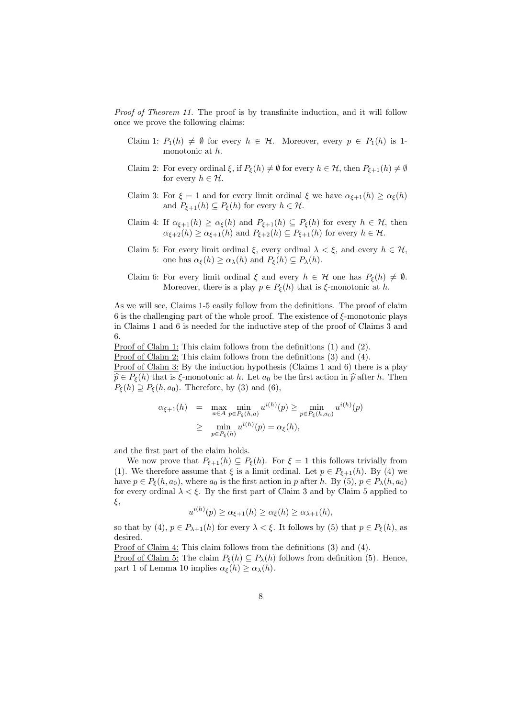Proof of Theorem 11. The proof is by transfinite induction, and it will follow once we prove the following claims:

- Claim 1:  $P_1(h) \neq \emptyset$  for every  $h \in \mathcal{H}$ . Moreover, every  $p \in P_1(h)$  is 1monotonic at h.
- Claim 2: For every ordinal  $\xi$ , if  $P_{\xi}(h) \neq \emptyset$  for every  $h \in \mathcal{H}$ , then  $P_{\xi+1}(h) \neq \emptyset$ for every  $h \in \mathcal{H}$ .
- Claim 3: For  $\xi = 1$  and for every limit ordinal  $\xi$  we have  $\alpha_{\xi+1}(h) \geq \alpha_{\xi}(h)$ and  $P_{\xi+1}(h) \subseteq P_{\xi}(h)$  for every  $h \in \mathcal{H}$ .
- Claim 4: If  $\alpha_{\xi+1}(h) \geq \alpha_{\xi}(h)$  and  $P_{\xi+1}(h) \subseteq P_{\xi}(h)$  for every  $h \in \mathcal{H}$ , then  $\alpha_{\xi+2}(h) \geq \alpha_{\xi+1}(h)$  and  $P_{\xi+2}(h) \subseteq P_{\xi+1}(h)$  for every  $h \in \mathcal{H}$ .
- Claim 5: For every limit ordinal  $\xi$ , every ordinal  $\lambda < \xi$ , and every  $h \in \mathcal{H}$ , one has  $\alpha_{\xi}(h) \geq \alpha_{\lambda}(h)$  and  $P_{\xi}(h) \subseteq P_{\lambda}(h)$ .
- Claim 6: For every limit ordinal  $\xi$  and every  $h \in \mathcal{H}$  one has  $P_{\xi}(h) \neq \emptyset$ . Moreover, there is a play  $p \in P_{\xi}(h)$  that is  $\xi$ -monotonic at h.

As we will see, Claims 1-5 easily follow from the definitions. The proof of claim 6 is the challenging part of the whole proof. The existence of  $\xi$ -monotonic plays in Claims 1 and 6 is needed for the inductive step of the proof of Claims 3 and 6.

Proof of Claim 1: This claim follows from the definitions (1) and (2).

Proof of Claim 2: This claim follows from the definitions (3) and (4).

Proof of Claim 3: By the induction hypothesis (Claims 1 and 6) there is a play  $\hat{p} \in P_{\xi}(h)$  that is  $\xi$ -monotonic at h. Let  $a_0$  be the first action in  $\hat{p}$  after h. Then  $P_{\xi}(h) \supseteq P_{\xi}(h, a_0)$ . Therefore, by (3) and (6),

$$
\alpha_{\xi+1}(h) = \max_{a \in A} \min_{p \in P_{\xi}(h,a)} u^{i(h)}(p) \ge \min_{p \in P_{\xi}(h,a_0)} u^{i(h)}(p)
$$
  
 
$$
\ge \min_{p \in P_{\xi}(h)} u^{i(h)}(p) = \alpha_{\xi}(h),
$$

and the first part of the claim holds.

We now prove that  $P_{\xi+1}(h) \subseteq P_{\xi}(h)$ . For  $\xi = 1$  this follows trivially from (1). We therefore assume that  $\xi$  is a limit ordinal. Let  $p \in P_{\xi+1}(h)$ . By (4) we have  $p \in P_{\xi}(h, a_0)$ , where  $a_0$  is the first action in p after h. By (5),  $p \in P_{\lambda}(h, a_0)$ for every ordinal  $\lambda < \xi$ . By the first part of Claim 3 and by Claim 5 applied to ξ,

$$
u^{i(h)}(p) \ge \alpha_{\xi+1}(h) \ge \alpha_{\xi}(h) \ge \alpha_{\lambda+1}(h),
$$

so that by (4),  $p \in P_{\lambda+1}(h)$  for every  $\lambda < \xi$ . It follows by (5) that  $p \in P_{\xi}(h)$ , as desired.

Proof of Claim 4: This claim follows from the definitions (3) and (4).

<u>Proof of Claim 5:</u> The claim  $P_{\xi}(h) \subseteq P_{\lambda}(h)$  follows from definition (5). Hence, part 1 of Lemma 10 implies  $\alpha_{\xi}(h) \geq \alpha_{\lambda}(h)$ .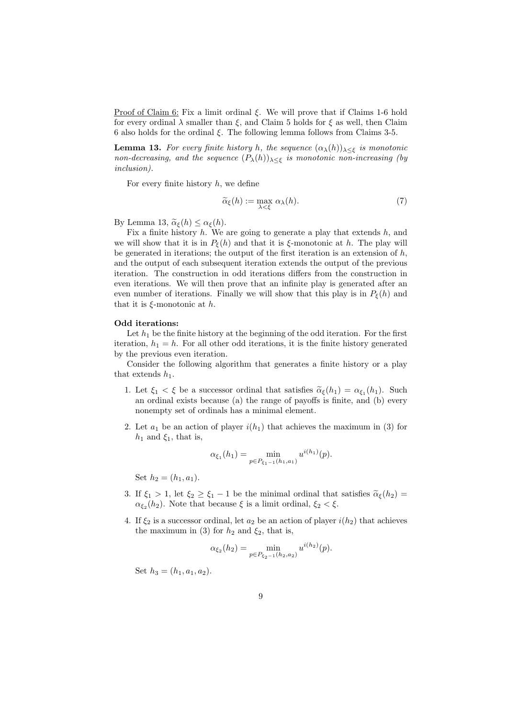Proof of Claim 6: Fix a limit ordinal  $\xi$ . We will prove that if Claims 1-6 hold for every ordinal  $\lambda$  smaller than  $\xi$ , and Claim 5 holds for  $\xi$  as well, then Claim 6 also holds for the ordinal ξ. The following lemma follows from Claims 3-5.

**Lemma 13.** For every finite history h, the sequence  $(\alpha_{\lambda}(h))_{\lambda \leq \xi}$  is monotonic non-decreasing, and the sequence  $(P_\lambda(h))_{\lambda \leq \xi}$  is monotonic non-increasing (by inclusion).

For every finite history  $h$ , we define

$$
\widetilde{\alpha}_{\xi}(h) := \max_{\lambda < \xi} \alpha_{\lambda}(h). \tag{7}
$$

By Lemma 13,  $\tilde{\alpha}_{\xi}(h) \leq \alpha_{\xi}(h)$ .

Fix a finite history  $h$ . We are going to generate a play that extends  $h$ , and we will show that it is in  $P_{\xi}(h)$  and that it is  $\xi$ -monotonic at h. The play will be generated in iterations; the output of the first iteration is an extension of  $h$ , and the output of each subsequent iteration extends the output of the previous iteration. The construction in odd iterations differs from the construction in even iterations. We will then prove that an infinite play is generated after an even number of iterations. Finally we will show that this play is in  $P_{\xi}(h)$  and that it is  $\xi$ -monotonic at h.

#### Odd iterations:

Let  $h_1$  be the finite history at the beginning of the odd iteration. For the first iteration,  $h_1 = h$ . For all other odd iterations, it is the finite history generated by the previous even iteration.

Consider the following algorithm that generates a finite history or a play that extends  $h_1$ .

- 1. Let  $\xi_1 < \xi$  be a successor ordinal that satisfies  $\tilde{\alpha}_{\xi}(h_1) = \alpha_{\xi_1}(h_1)$ . Such an ordinal oriets because (a) the range of pareffs is finite and (b) organized an ordinal exists because (a) the range of payoffs is finite, and (b) every nonempty set of ordinals has a minimal element.
- 2. Let  $a_1$  be an action of player  $i(h_1)$  that achieves the maximum in (3) for  $h_1$  and  $\xi_1$ , that is,

$$
\alpha_{\xi_1}(h_1) = \min_{p \in P_{\xi_1 - 1}(h_1, a_1)} u^{i(h_1)}(p).
$$

Set  $h_2 = (h_1, a_1)$ .

- 3. If  $\xi_1 > 1$ , let  $\xi_2 \ge \xi_1 1$  be the minimal ordinal that satisfies  $\tilde{\alpha}_{\xi}(h_2) =$  $\alpha_{\xi_2}(h_2)$ . Note that because  $\xi$  is a limit ordinal,  $\xi_2 < \xi$ .
- 4. If  $\xi_2$  is a successor ordinal, let  $a_2$  be an action of player  $i(h_2)$  that achieves the maximum in (3) for  $h_2$  and  $\xi_2$ , that is,

$$
\alpha_{\xi_2}(h_2) = \min_{p \in P_{\xi_2 - 1}(h_2, a_2)} u^{i(h_2)}(p).
$$

Set  $h_3 = (h_1, a_1, a_2)$ .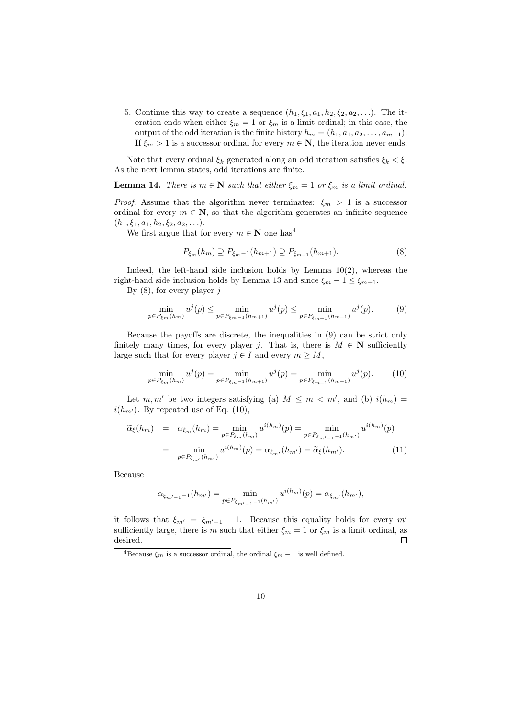5. Continue this way to create a sequence  $(h_1, \xi_1, a_1, h_2, \xi_2, a_2, \ldots)$ . The iteration ends when either  $\xi_m = 1$  or  $\xi_m$  is a limit ordinal; in this case, the output of the odd iteration is the finite history  $h_m = (h_1, a_1, a_2, \ldots, a_{m-1}).$ If  $\xi_m > 1$  is a successor ordinal for every  $m \in \mathbb{N}$ , the iteration never ends.

Note that every ordinal  $\xi_k$  generated along an odd iteration satisfies  $\xi_k < \xi$ . As the next lemma states, odd iterations are finite.

**Lemma 14.** There is  $m \in \mathbb{N}$  such that either  $\xi_m = 1$  or  $\xi_m$  is a limit ordinal.

*Proof.* Assume that the algorithm never terminates:  $\xi_m > 1$  is a successor ordinal for every  $m \in \mathbb{N}$ , so that the algorithm generates an infinite sequence  $(h_1, \xi_1, a_1, h_2, \xi_2, a_2, \ldots).$ 

We first argue that for every  $m \in \mathbb{N}$  one has<sup>4</sup>

$$
P_{\xi_m}(h_m) \supseteq P_{\xi_{m-1}}(h_{m+1}) \supseteq P_{\xi_{m+1}}(h_{m+1}).\tag{8}
$$

Indeed, the left-hand side inclusion holds by Lemma  $10(2)$ , whereas the right-hand side inclusion holds by Lemma 13 and since  $\xi_m - 1 \leq \xi_{m+1}$ .

By  $(8)$ , for every player j

$$
\min_{p \in P_{\xi_m}(h_m)} u^j(p) \le \min_{p \in P_{\xi_m-1}(h_{m+1})} u^j(p) \le \min_{p \in P_{\xi_{m+1}}(h_{m+1})} u^j(p). \tag{9}
$$

Because the payoffs are discrete, the inequalities in (9) can be strict only finitely many times, for every player j. That is, there is  $M \in \mathbb{N}$  sufficiently large such that for every player  $j \in I$  and every  $m \geq M$ ,

$$
\min_{p \in P_{\xi_m}(h_m)} u^j(p) = \min_{p \in P_{\xi_{m-1}}(h_{m+1})} u^j(p) = \min_{p \in P_{\xi_{m+1}}(h_{m+1})} u^j(p). \tag{10}
$$

Let m, m' be two integers satisfying (a)  $M \leq m < m'$ , and (b)  $i(h_m) =$  $i(h_{m'})$ . By repeated use of Eq. (10),

$$
\widetilde{\alpha}_{\xi}(h_m) = \alpha_{\xi_m}(h_m) = \min_{p \in P_{\xi_m}(h_m)} u^{i(h_m)}(p) = \min_{p \in P_{\xi_{m'-1}-1}(h_{m'})} u^{i(h_m)}(p)
$$

$$
= \min_{p \in P_{\xi_{m'}}(h_{m'})} u^{i(h_m)}(p) = \alpha_{\xi_{m'}}(h_{m'}) = \widetilde{\alpha}_{\xi}(h_{m'}).
$$
(11)

Because

$$
\alpha_{\xi_{m'-1}-1}(h_{m'}) = \min_{p \in P_{\xi_{m'-1}-1}(h_{m'})} u^{i(h_m)}(p) = \alpha_{\xi_{m'}}(h_{m'}),
$$

it follows that  $\xi_{m'} = \xi_{m'-1} - 1$ . Because this equality holds for every m' sufficiently large, there is m such that either  $\xi_m = 1$  or  $\xi_m$  is a limit ordinal, as desired.  $\Box$ 

<sup>&</sup>lt;sup>4</sup>Because  $\xi_m$  is a successor ordinal, the ordinal  $\xi_m - 1$  is well defined.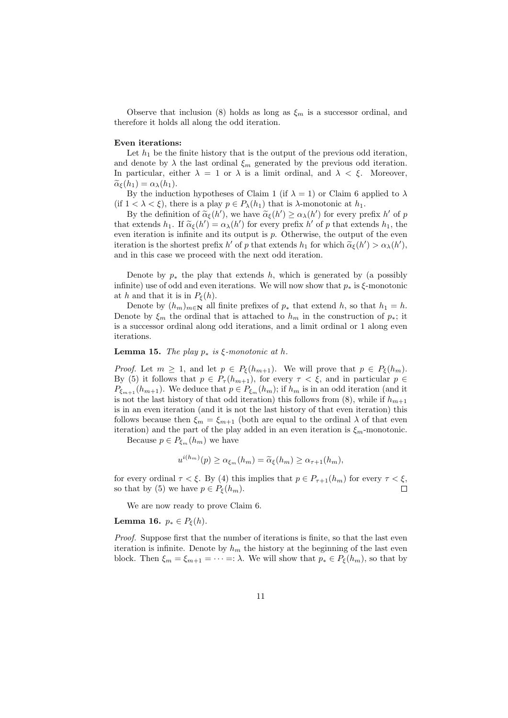Observe that inclusion (8) holds as long as  $\xi_m$  is a successor ordinal, and therefore it holds all along the odd iteration.

#### Even iterations:

Let  $h_1$  be the finite history that is the output of the previous odd iteration, and denote by  $\lambda$  the last ordinal  $\xi_m$  generated by the previous odd iteration. In particular, either  $\lambda = 1$  or  $\lambda$  is a limit ordinal, and  $\lambda < \xi$ . Moreover,  $\widetilde{\alpha}_{\epsilon}(h_1) = \alpha_{\lambda}(h_1).$ 

By the induction hypotheses of Claim 1 (if  $\lambda = 1$ ) or Claim 6 applied to  $\lambda$ (if  $1 < \lambda < \xi$ ), there is a play  $p \in P_{\lambda}(h_1)$  that is  $\lambda$ -monotonic at  $h_1$ .

By the definition of  $\tilde{\alpha}_{\xi}(h')$ , we have  $\tilde{\alpha}_{\xi}(h') \geq \alpha_{\lambda}(h')$  for every prefix h' of p<br>t oxtonds h. If  $\tilde{\alpha}_{\xi}(h') = \alpha_{\xi}(h')$  for every prefix h' of p that extends h, the that extends  $h_1$ . If  $\tilde{\alpha}_{\xi}(h') = \alpha_{\lambda}(h')$  for every prefix  $h'$  of p that extends  $h_1$ , the even iteration is infinite and its output is  $p$ . Otherwise, the output of the even iteration is the shortest prefix h' of p that extends  $h_1$  for which  $\tilde{\alpha}_{\xi}(h') > \alpha_{\lambda}(h')$ ,<br>and in this case we proceed with the poxt odd iteration. and in this case we proceed with the next odd iteration.

Denote by  $p_*$  the play that extends h, which is generated by (a possibly infinite) use of odd and even iterations. We will now show that  $p_*$  is  $\xi$ -monotonic at h and that it is in  $P_{\xi}(h)$ .

Denote by  $(h_m)_{m\in\mathbf{N}}$  all finite prefixes of  $p_*$  that extend h, so that  $h_1 = h$ . Denote by  $\xi_m$  the ordinal that is attached to  $h_m$  in the construction of  $p_*$ ; it is a successor ordinal along odd iterations, and a limit ordinal or 1 along even iterations.

**Lemma 15.** The play  $p_*$  is  $\xi$ -monotonic at h.

*Proof.* Let  $m \geq 1$ , and let  $p \in P_{\xi}(h_{m+1})$ . We will prove that  $p \in P_{\xi}(h_m)$ . By (5) it follows that  $p \in P_{\tau}(h_{m+1})$ , for every  $\tau < \xi$ , and in particular  $p \in$  $P_{\xi_{m+1}}(h_{m+1})$ . We deduce that  $p \in P_{\xi_m}(h_m)$ ; if  $h_m$  is in an odd iteration (and it is not the last history of that odd iteration) this follows from (8), while if  $h_{m+1}$ is in an even iteration (and it is not the last history of that even iteration) this follows because then  $\xi_m = \xi_{m+1}$  (both are equal to the ordinal  $\lambda$  of that even iteration) and the part of the play added in an even iteration is  $\xi_m$ -monotonic.

Because  $p \in P_{\xi_m}(h_m)$  we have

$$
u^{i(h_m)}(p) \geq \alpha_{\xi_m}(h_m) = \widetilde{\alpha}_{\xi}(h_m) \geq \alpha_{\tau+1}(h_m),
$$

for every ordinal  $\tau < \xi$ . By (4) this implies that  $p \in P_{\tau+1}(h_m)$  for every  $\tau < \xi$ , so that by (5) we have  $p \in P_{\xi}(h_m)$ .

We are now ready to prove Claim 6.

Lemma 16.  $p_* \in P_{\xi}(h)$ .

Proof. Suppose first that the number of iterations is finite, so that the last even iteration is infinite. Denote by  $h_m$  the history at the beginning of the last even block. Then  $\xi_m = \xi_{m+1} = \cdots =: \lambda$ . We will show that  $p_* \in P_{\xi}(h_m)$ , so that by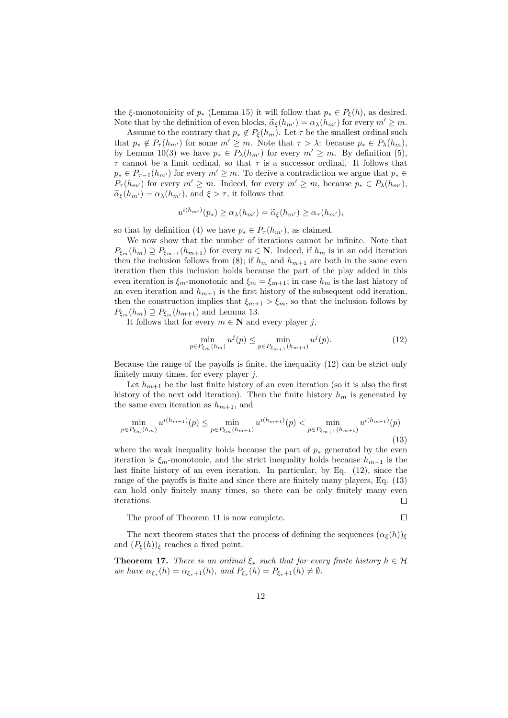the ξ-monotonicity of  $p_*$  (Lemma 15) it will follow that  $p_* \in P_{\xi}(h)$ , as desired. Note that by the definition of even blocks,  $\tilde{\alpha}_{\xi}(h_{m'}) = \alpha_{\lambda}(h_{m'})$  for every  $m' \geq m$ .

Assume to the contrary that  $p_* \notin P_{\xi}(h_m)$ . Let  $\tau$  be the smallest ordinal such that  $p_* \notin P_\tau(h_{m'})$  for some  $m' \geq m$ . Note that  $\tau > \lambda$ : because  $p_* \in P_\lambda(h_m)$ , by Lemma 10(3) we have  $p_* \in P_{\lambda}(h_{m'})$  for every  $m' \geq m$ . By definition (5),  $\tau$  cannot be a limit ordinal, so that  $\tau$  is a successor ordinal. It follows that  $p_* \in P_{\tau-1}(h_{m'})$  for every  $m' \geq m$ . To derive a contradiction we argue that  $p_* \in$  $P_{\tau}(h_{m'})$  for every  $m' \geq m$ . Indeed, for every  $m' \geq m$ , because  $p_* \in P_{\lambda}(h_{m'})$ ,  $\tilde{\alpha}_{\xi}(h_{m'}) = \alpha_{\lambda}(h_{m'})$ , and  $\xi > \tau$ , it follows that

$$
u^{i(h_{m'})}(p_*) \ge \alpha_\lambda(h_{m'}) = \widetilde{\alpha}_{\xi}(h_{m'}) \ge \alpha_\tau(h_{m'}),
$$

so that by definition (4) we have  $p_* \in P_\tau(h_{m'}),$  as claimed.

We now show that the number of iterations cannot be infinite. Note that  $P_{\xi_m}(h_m) \supseteq P_{\xi_{m+1}}(h_{m+1})$  for every  $m \in \mathbb{N}$ . Indeed, if  $h_m$  is in an odd iteration then the inclusion follows from (8); if  $h_m$  and  $h_{m+1}$  are both in the same even iteration then this inclusion holds because the part of the play added in this even iteration is  $\xi_m$ -monotonic and  $\xi_m = \xi_{m+1}$ ; in case  $h_m$  is the last history of an even iteration and  $h_{m+1}$  is the first history of the subsequent odd iteration, then the construction implies that  $\xi_{m+1} > \xi_m$ , so that the inclusion follows by  $P_{\xi_m}(h_m) \supseteq P_{\xi_m}(h_{m+1})$  and Lemma 13.

It follows that for every  $m \in \mathbb{N}$  and every player j,

$$
\min_{p \in P_{\xi_m}(h_m)} u^j(p) \le \min_{p \in P_{\xi_{m+1}}(h_{m+1})} u^j(p). \tag{12}
$$

Because the range of the payoffs is finite, the inequality (12) can be strict only finitely many times, for every player  $j$ .

Let  $h_{m+1}$  be the last finite history of an even iteration (so it is also the first history of the next odd iteration). Then the finite history  $h_m$  is generated by the same even iteration as  $h_{m+1}$ , and

$$
\min_{p \in P_{\xi_m}(h_m)} u^{i(h_{m+1})}(p) \le \min_{p \in P_{\xi_m}(h_{m+1})} u^{i(h_{m+1})}(p) < \min_{p \in P_{\xi_{m+1}}(h_{m+1})} u^{i(h_{m+1})}(p) \tag{13}
$$

where the weak inequality holds because the part of  $p_*$  generated by the even iteration is  $\xi_m$ -monotonic, and the strict inequality holds because  $h_{m+1}$  is the last finite history of an even iteration. In particular, by Eq. (12), since the range of the payoffs is finite and since there are finitely many players, Eq. (13) can hold only finitely many times, so there can be only finitely many even iterations.  $\Box$ 

The proof of Theorem 11 is now complete.

$$
\Box
$$

The next theorem states that the process of defining the sequences  $(\alpha_{\xi}(h))_{\xi}$ and  $(P_{\xi}(h))_{\xi}$  reaches a fixed point.

**Theorem 17.** There is an ordinal  $\xi_*$  such that for every finite history  $h \in \mathcal{H}$ we have  $\alpha_{\xi_*}(h) = \alpha_{\xi_*+1}(h)$ , and  $P_{\xi_*}(h) = P_{\xi_*+1}(h) \neq \emptyset$ .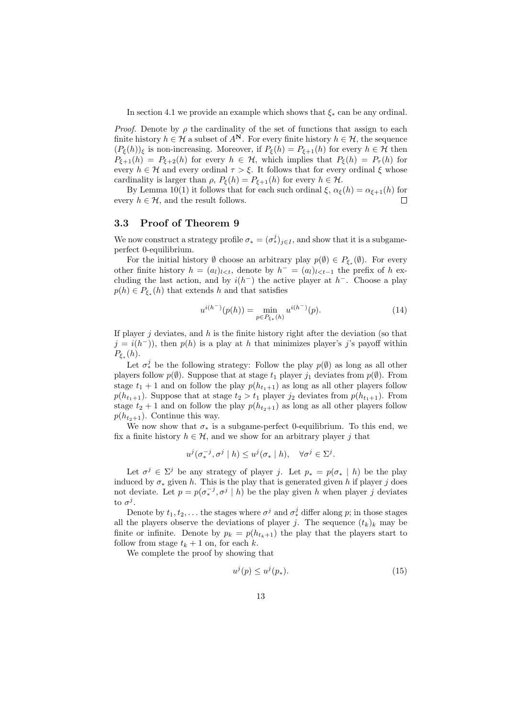In section 4.1 we provide an example which shows that  $\xi_*$  can be any ordinal.

*Proof.* Denote by  $\rho$  the cardinality of the set of functions that assign to each finite history  $h \in \mathcal{H}$  a subset of  $A^N$ . For every finite history  $h \in \mathcal{H}$ , the sequence  $(P_{\xi}(h))_{\xi}$  is non-increasing. Moreover, if  $P_{\xi}(h) = P_{\xi+1}(h)$  for every  $h \in \mathcal{H}$  then  $P_{\xi+1}(h) = P_{\xi+2}(h)$  for every  $h \in H$ , which implies that  $P_{\xi}(h) = P_{\tau}(h)$  for every  $h \in \mathcal{H}$  and every ordinal  $\tau > \xi$ . It follows that for every ordinal  $\xi$  whose cardinality is larger than  $\rho$ ,  $P_{\xi}(h) = P_{\xi+1}(h)$  for every  $h \in \mathcal{H}$ .

By Lemma 10(1) it follows that for each such ordinal  $\xi$ ,  $\alpha_{\xi}(h) = \alpha_{\xi+1}(h)$  for every  $h \in \mathcal{H}$ , and the result follows.  $\Box$ 

## 3.3 Proof of Theorem 9

We now construct a strategy profile  $\sigma_* = (\sigma_*^j)_{j \in I}$ , and show that it is a subgameperfect 0-equilibrium.

For the initial history  $\emptyset$  choose an arbitrary play  $p(\emptyset) \in P_{\xi_*}(\emptyset)$ . For every other finite history  $h = (a_l)_{l \lt t}$ , denote by  $h^- = (a_l)_{l \lt t-1}$  the prefix of h excluding the last action, and by  $i(h^-)$  the active player at  $h^-$ . Choose a play  $p(h) \in P_{\xi_*}(h)$  that extends h and that satisfies

$$
u^{i(h^{-})}(p(h)) = \min_{p \in P_{\xi_*}(h)} u^{i(h^{-})}(p).
$$
 (14)

If player  $j$  deviates, and  $h$  is the finite history right after the deviation (so that  $j = i(h^{-})$ , then  $p(h)$  is a play at h that minimizes player's j's payoff within  $P_{\xi_*}(h)$ .

Let  $\sigma_*^j$  be the following strategy: Follow the play  $p(\emptyset)$  as long as all other players follow  $p(\emptyset)$ . Suppose that at stage  $t_1$  player  $j_1$  deviates from  $p(\emptyset)$ . From stage  $t_1 + 1$  and on follow the play  $p(h_{t_1+1})$  as long as all other players follow  $p(h_{t_1+1})$ . Suppose that at stage  $t_2 > t_1$  player  $j_2$  deviates from  $p(h_{t_1+1})$ . From stage  $t_2 + 1$  and on follow the play  $p(h_{t_2+1})$  as long as all other players follow  $p(h_{t_2+1})$ . Continue this way.

We now show that  $\sigma_*$  is a subgame-perfect 0-equilibrium. To this end, we fix a finite history  $h \in \mathcal{H}$ , and we show for an arbitrary player j that

$$
u^j(\sigma_*^{-j},\sigma^j \mid h) \le u^j(\sigma_* \mid h), \quad \forall \sigma^j \in \Sigma^j.
$$

Let  $\sigma^j \in \Sigma^j$  be any strategy of player j. Let  $p_* = p(\sigma_* | h)$  be the play induced by  $\sigma_*$  given h. This is the play that is generated given h if player j does not deviate. Let  $p = p(\sigma_*^{-j}, \sigma^j | h)$  be the play given h when player j deviates to  $\sigma^j$ .

Denote by  $t_1, t_2, \ldots$  the stages where  $\sigma^j$  and  $\sigma^j_*$  differ along  $p$ ; in those stages all the players observe the deviations of player j. The sequence  $(t_k)_k$  may be finite or infinite. Denote by  $p_k = p(h_{t_k+1})$  the play that the players start to follow from stage  $t_k + 1$  on, for each k.

We complete the proof by showing that

$$
u^j(p) \le u^j(p_*). \tag{15}
$$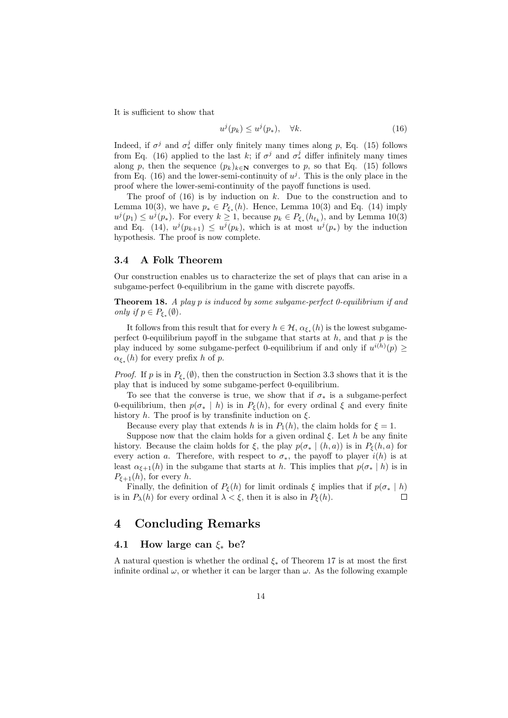It is sufficient to show that

$$
u^j(p_k) \le u^j(p_*), \quad \forall k. \tag{16}
$$

Indeed, if  $\sigma^j$  and  $\sigma^j_*$  differ only finitely many times along p, Eq. (15) follows from Eq. (16) applied to the last k; if  $\sigma^j$  and  $\sigma^j_*$  differ infinitely many times along p, then the sequence  $(p_k)_{k\in\mathbb{N}}$  converges to p, so that Eq. (15) follows from Eq. (16) and the lower-semi-continuity of  $u^j$ . This is the only place in the proof where the lower-semi-continuity of the payoff functions is used.

The proof of  $(16)$  is by induction on k. Due to the construction and to Lemma 10(3), we have  $p_* \in P_{\xi_*}(h)$ . Hence, Lemma 10(3) and Eq. (14) imply  $u^{j}(p_1) \leq u^{j}(p_*)$ . For every  $k \geq 1$ , because  $p_k \in P_{\xi_*}(h_{t_k})$ , and by Lemma 10(3) and Eq. (14),  $u^j(p_{k+1}) \leq u^j(p_k)$ , which is at most  $u^j(p_*)$  by the induction hypothesis. The proof is now complete.

#### 3.4 A Folk Theorem

Our construction enables us to characterize the set of plays that can arise in a subgame-perfect 0-equilibrium in the game with discrete payoffs.

Theorem 18. A play p is induced by some subgame-perfect 0-equilibrium if and only if  $p \in P_{\xi_*}(\emptyset)$ .

It follows from this result that for every  $h \in \mathcal{H}$ ,  $\alpha_{\xi_*}(h)$  is the lowest subgameperfect 0-equilibrium payoff in the subgame that starts at  $h$ , and that  $p$  is the play induced by some subgame-perfect 0-equilibrium if and only if  $u^{i(h)}(p) \geq$  $\alpha_{\xi_*}(h)$  for every prefix h of p.

*Proof.* If p is in  $P_{\xi_*}(\emptyset)$ , then the construction in Section 3.3 shows that it is the play that is induced by some subgame-perfect 0-equilibrium.

To see that the converse is true, we show that if  $\sigma_*$  is a subgame-perfect 0-equilibrium, then  $p(\sigma_* | h)$  is in  $P_{\xi}(h)$ , for every ordinal  $\xi$  and every finite history h. The proof is by transfinite induction on  $\xi$ .

Because every play that extends h is in  $P_1(h)$ , the claim holds for  $\xi = 1$ .

Suppose now that the claim holds for a given ordinal  $\xi$ . Let h be any finite history. Because the claim holds for  $\xi$ , the play  $p(\sigma_* | (h, a))$  is in  $P_{\xi}(h, a)$  for every action a. Therefore, with respect to  $\sigma_*$ , the payoff to player  $i(h)$  is at least  $\alpha_{\xi+1}(h)$  in the subgame that starts at h. This implies that  $p(\sigma_* | h)$  is in  $P_{\xi+1}(h)$ , for every h.

Finally, the definition of  $P_{\xi}(h)$  for limit ordinals  $\xi$  implies that if  $p(\sigma_* | h)$ is in  $P_{\lambda}(h)$  for every ordinal  $\lambda < \xi$ , then it is also in  $P_{\xi}(h)$ .  $\Box$ 

# 4 Concluding Remarks

## 4.1 How large can  $\xi_*$  be?

A natural question is whether the ordinal  $\xi_*$  of Theorem 17 is at most the first infinite ordinal  $\omega$ , or whether it can be larger than  $\omega$ . As the following example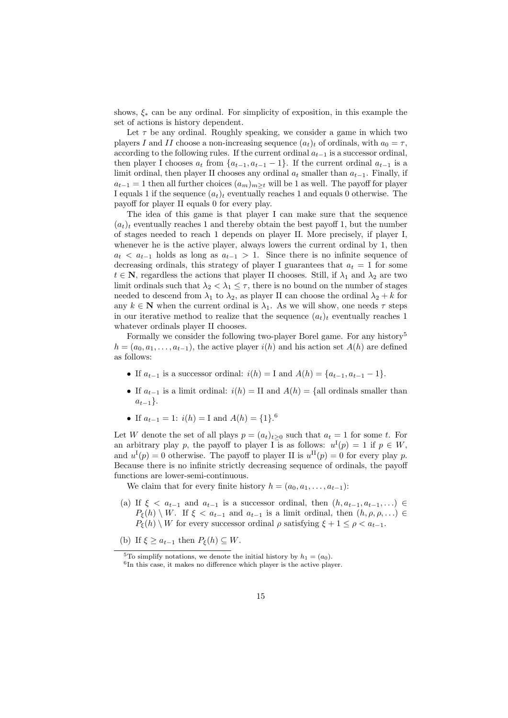shows,  $\xi_*$  can be any ordinal. For simplicity of exposition, in this example the set of actions is history dependent.

Let  $\tau$  be any ordinal. Roughly speaking, we consider a game in which two players I and II choose a non-increasing sequence  $(a_t)_t$  of ordinals, with  $a_0 = \tau$ , according to the following rules. If the current ordinal  $a_{t-1}$  is a successor ordinal, then player I chooses  $a_t$  from  $\{a_{t-1}, a_{t-1} - 1\}$ . If the current ordinal  $a_{t-1}$  is a limit ordinal, then player II chooses any ordinal  $a_t$  smaller than  $a_{t-1}$ . Finally, if  $a_{t-1} = 1$  then all further choices  $(a_m)_{m \geq t}$  will be 1 as well. The payoff for player I equals 1 if the sequence  $(a_t)_t$  eventually reaches 1 and equals 0 otherwise. The payoff for player II equals 0 for every play.

The idea of this game is that player I can make sure that the sequence  $(a_t)_t$  eventually reaches 1 and thereby obtain the best payoff 1, but the number of stages needed to reach 1 depends on player II. More precisely, if player I, whenever he is the active player, always lowers the current ordinal by 1, then  $a_t < a_{t-1}$  holds as long as  $a_{t-1} > 1$ . Since there is no infinite sequence of decreasing ordinals, this strategy of player I guarantees that  $a_t = 1$  for some  $t \in \mathbb{N}$ , regardless the actions that player II chooses. Still, if  $\lambda_1$  and  $\lambda_2$  are two limit ordinals such that  $\lambda_2 < \lambda_1 \leq \tau$ , there is no bound on the number of stages needed to descend from  $\lambda_1$  to  $\lambda_2$ , as player II can choose the ordinal  $\lambda_2 + k$  for any  $k \in \mathbb{N}$  when the current ordinal is  $\lambda_1$ . As we will show, one needs  $\tau$  steps in our iterative method to realize that the sequence  $(a_t)_t$  eventually reaches 1 whatever ordinals player II chooses.

Formally we consider the following two-player Borel game. For any history<sup>5</sup>  $h = (a_0, a_1, \ldots, a_{t-1}),$  the active player  $i(h)$  and his action set  $A(h)$  are defined as follows:

- If  $a_{t-1}$  is a successor ordinal:  $i(h) = I$  and  $A(h) = \{a_{t-1}, a_{t-1} 1\}.$
- If  $a_{t-1}$  is a limit ordinal:  $i(h) = \text{II}$  and  $A(h) = \text{All ordinals smaller than}$  $a_{t-1}$ .
- If  $a_{t-1} = 1$ :  $i(h) = I$  and  $A(h) = \{1\}$ .<sup>6</sup>

Let W denote the set of all plays  $p = (a_t)_{t\geq 0}$  such that  $a_t = 1$  for some t. For an arbitrary play p, the payoff to player I is as follows:  $u^{I}(p) = 1$  if  $p \in W$ , and  $u^{I}(p) = 0$  otherwise. The payoff to player II is  $u^{II}(p) = 0$  for every play p. Because there is no infinite strictly decreasing sequence of ordinals, the payoff functions are lower-semi-continuous.

We claim that for every finite history  $h = (a_0, a_1, \ldots, a_{t-1})$ :

(a) If  $\xi < a_{t-1}$  and  $a_{t-1}$  is a successor ordinal, then  $(h, a_{t-1}, a_{t-1}, \ldots) \in$  $P_{\xi}(h) \setminus W$ . If  $\xi < a_{t-1}$  and  $a_{t-1}$  is a limit ordinal, then  $(h, \rho, \rho, ...)$  $P_{\xi}(h) \setminus W$  for every successor ordinal  $\rho$  satisfying  $\xi + 1 \leq \rho < a_{t-1}$ .

(b) If  $\xi \ge a_{t-1}$  then  $P_{\xi}(h) \subseteq W$ .

<sup>&</sup>lt;sup>5</sup>To simplify notations, we denote the initial history by  $h_1 = (a_0)$ .

<sup>6</sup> In this case, it makes no difference which player is the active player.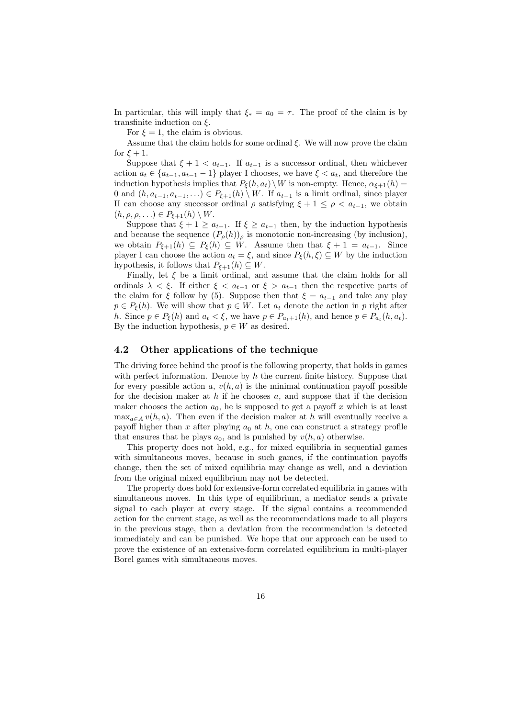In particular, this will imply that  $\xi_* = a_0 = \tau$ . The proof of the claim is by transfinite induction on  $\xi$ .

For  $\xi = 1$ , the claim is obvious.

Assume that the claim holds for some ordinal  $\xi$ . We will now prove the claim for  $\xi + 1$ .

Suppose that  $\xi + 1 < a_{t-1}$ . If  $a_{t-1}$  is a successor ordinal, then whichever action  $a_t \in \{a_{t-1}, a_{t-1} - 1\}$  player I chooses, we have  $\xi < a_t$ , and therefore the induction hypothesis implies that  $P_{\xi}(h, a_t) \setminus W$  is non-empty. Hence,  $\alpha_{\xi+1}(h)$  = 0 and  $(h, a_{t-1}, a_{t-1}, \ldots) \in P_{\xi+1}(h) \setminus W$ . If  $a_{t-1}$  is a limit ordinal, since player II can choose any successor ordinal  $\rho$  satisfying  $\xi + 1 \leq \rho < a_{t-1}$ , we obtain  $(h, \rho, \rho, \ldots) \in P_{\xi+1}(h) \setminus W$ .

Suppose that  $\xi + 1 \ge a_{t-1}$ . If  $\xi \ge a_{t-1}$  then, by the induction hypothesis and because the sequence  $(P_{\rho}(h))_{\rho}$  is monotonic non-increasing (by inclusion), we obtain  $P_{\xi+1}(h) \subseteq P_{\xi}(h) \subseteq W$ . Assume then that  $\xi + 1 = a_{t-1}$ . Since player I can choose the action  $a_t = \xi$ , and since  $P_{\xi}(h, \xi) \subseteq W$  by the induction hypothesis, it follows that  $P_{\xi+1}(h) \subseteq W$ .

Finally, let  $\xi$  be a limit ordinal, and assume that the claim holds for all ordinals  $\lambda < \xi$ . If either  $\xi < a_{t-1}$  or  $\xi > a_{t-1}$  then the respective parts of the claim for  $\xi$  follow by (5). Suppose then that  $\xi = a_{t-1}$  and take any play  $p \in P_{\xi}(h)$ . We will show that  $p \in W$ . Let  $a_t$  denote the action in p right after h. Since  $p \in P_{\xi}(h)$  and  $a_t < \xi$ , we have  $p \in P_{a_t+1}(h)$ , and hence  $p \in P_{a_t}(h, a_t)$ . By the induction hypothesis,  $p \in W$  as desired.

# 4.2 Other applications of the technique

The driving force behind the proof is the following property, that holds in games with perfect information. Denote by  $h$  the current finite history. Suppose that for every possible action a,  $v(h, a)$  is the minimal continuation payoff possible for the decision maker at  $h$  if he chooses  $a$ , and suppose that if the decision maker chooses the action  $a_0$ , he is supposed to get a payoff x which is at least  $\max_{a \in A} v(h, a)$ . Then even if the decision maker at h will eventually receive a payoff higher than x after playing  $a_0$  at h, one can construct a strategy profile that ensures that he plays  $a_0$ , and is punished by  $v(h, a)$  otherwise.

This property does not hold, e.g., for mixed equilibria in sequential games with simultaneous moves, because in such games, if the continuation payoffs change, then the set of mixed equilibria may change as well, and a deviation from the original mixed equilibrium may not be detected.

The property does hold for extensive-form correlated equilibria in games with simultaneous moves. In this type of equilibrium, a mediator sends a private signal to each player at every stage. If the signal contains a recommended action for the current stage, as well as the recommendations made to all players in the previous stage, then a deviation from the recommendation is detected immediately and can be punished. We hope that our approach can be used to prove the existence of an extensive-form correlated equilibrium in multi-player Borel games with simultaneous moves.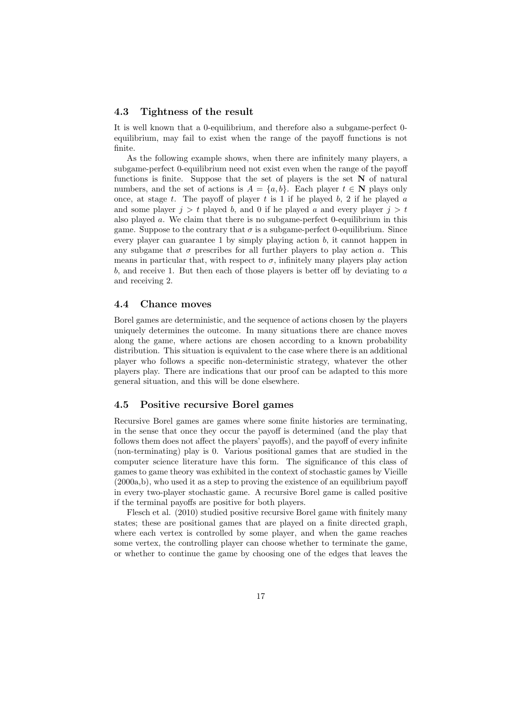#### 4.3 Tightness of the result

It is well known that a 0-equilibrium, and therefore also a subgame-perfect 0 equilibrium, may fail to exist when the range of the payoff functions is not finite.

As the following example shows, when there are infinitely many players, a subgame-perfect 0-equilibrium need not exist even when the range of the payoff functions is finite. Suppose that the set of players is the set  $N$  of natural numbers, and the set of actions is  $A = \{a, b\}$ . Each player  $t \in \mathbb{N}$  plays only once, at stage t. The payoff of player t is 1 if he played b, 2 if he played  $a$ and some player  $j > t$  played b, and 0 if he played a and every player  $j > t$ also played a. We claim that there is no subgame-perfect 0-equilibrium in this game. Suppose to the contrary that  $\sigma$  is a subgame-perfect 0-equilibrium. Since every player can guarantee 1 by simply playing action  $b$ , it cannot happen in any subgame that  $\sigma$  prescribes for all further players to play action a. This means in particular that, with respect to  $\sigma$ , infinitely many players play action b, and receive 1. But then each of those players is better off by deviating to a and receiving 2.

#### 4.4 Chance moves

Borel games are deterministic, and the sequence of actions chosen by the players uniquely determines the outcome. In many situations there are chance moves along the game, where actions are chosen according to a known probability distribution. This situation is equivalent to the case where there is an additional player who follows a specific non-deterministic strategy, whatever the other players play. There are indications that our proof can be adapted to this more general situation, and this will be done elsewhere.

#### 4.5 Positive recursive Borel games

Recursive Borel games are games where some finite histories are terminating, in the sense that once they occur the payoff is determined (and the play that follows them does not affect the players' payoffs), and the payoff of every infinite (non-terminating) play is 0. Various positional games that are studied in the computer science literature have this form. The significance of this class of games to game theory was exhibited in the context of stochastic games by Vieille (2000a,b), who used it as a step to proving the existence of an equilibrium payoff in every two-player stochastic game. A recursive Borel game is called positive if the terminal payoffs are positive for both players.

Flesch et al. (2010) studied positive recursive Borel game with finitely many states; these are positional games that are played on a finite directed graph, where each vertex is controlled by some player, and when the game reaches some vertex, the controlling player can choose whether to terminate the game, or whether to continue the game by choosing one of the edges that leaves the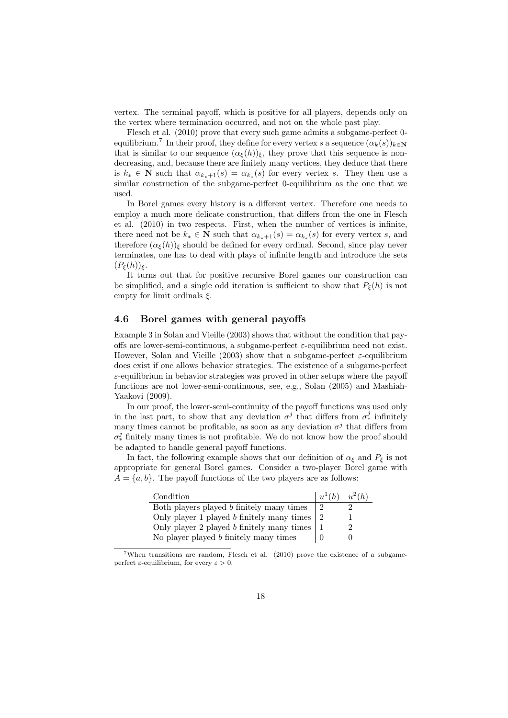vertex. The terminal payoff, which is positive for all players, depends only on the vertex where termination occurred, and not on the whole past play.

Flesch et al. (2010) prove that every such game admits a subgame-perfect 0 equilibrium.<sup>7</sup> In their proof, they define for every vertex s a sequence  $(\alpha_k(s))_{k\in\mathbb{N}}$ that is similar to our sequence  $(\alpha_{\xi}(h))_{\xi}$ , they prove that this sequence is nondecreasing, and, because there are finitely many vertices, they deduce that there is  $k_* \in \mathbb{N}$  such that  $\alpha_{k_*+1}(s) = \alpha_{k_*}(s)$  for every vertex s. They then use a similar construction of the subgame-perfect 0-equilibrium as the one that we used.

In Borel games every history is a different vertex. Therefore one needs to employ a much more delicate construction, that differs from the one in Flesch et al. (2010) in two respects. First, when the number of vertices is infinite, there need not be  $k_* \in \mathbb{N}$  such that  $\alpha_{k_*+1}(s) = \alpha_{k_*}(s)$  for every vertex s, and therefore  $(\alpha_{\xi}(h))_{\xi}$  should be defined for every ordinal. Second, since play never terminates, one has to deal with plays of infinite length and introduce the sets  $(P_{\xi}(h))_{\xi}$ .

It turns out that for positive recursive Borel games our construction can be simplified, and a single odd iteration is sufficient to show that  $P_{\xi}(h)$  is not empty for limit ordinals  $\xi$ .

## 4.6 Borel games with general payoffs

Example 3 in Solan and Vieille (2003) shows that without the condition that payoffs are lower-semi-continuous, a subgame-perfect  $\varepsilon$ -equilibrium need not exist. However, Solan and Vieille (2003) show that a subgame-perfect  $\varepsilon$ -equilibrium does exist if one allows behavior strategies. The existence of a subgame-perfect  $\varepsilon$ -equilibrium in behavior strategies was proved in other setups where the payoff functions are not lower-semi-continuous, see, e.g., Solan (2005) and Mashiah-Yaakovi (2009).

In our proof, the lower-semi-continuity of the payoff functions was used only in the last part, to show that any deviation  $\sigma^j$  that differs from  $\sigma_*^j$  infinitely many times cannot be profitable, as soon as any deviation  $\sigma^j$  that differs from  $\sigma_*^j$  finitely many times is not profitable. We do not know how the proof should be adapted to handle general payoff functions.

In fact, the following example shows that our definition of  $\alpha_{\xi}$  and  $P_{\xi}$  is not appropriate for general Borel games. Consider a two-player Borel game with  $A = \{a, b\}$ . The payoff functions of the two players are as follows:

| Condition                                    | $u^1(h)$ | $u^2(h)$ |
|----------------------------------------------|----------|----------|
| Both players played b finitely many times    |          |          |
| Only player 1 played $b$ finitely many times |          |          |
| Only player 2 played b finitely many times   |          | റ        |
| No player played $b$ finitely many times     |          |          |

 $7$ When transitions are random, Flesch et al.  $(2010)$  prove the existence of a subgameperfect  $\varepsilon$ -equilibrium, for every  $\varepsilon > 0$ .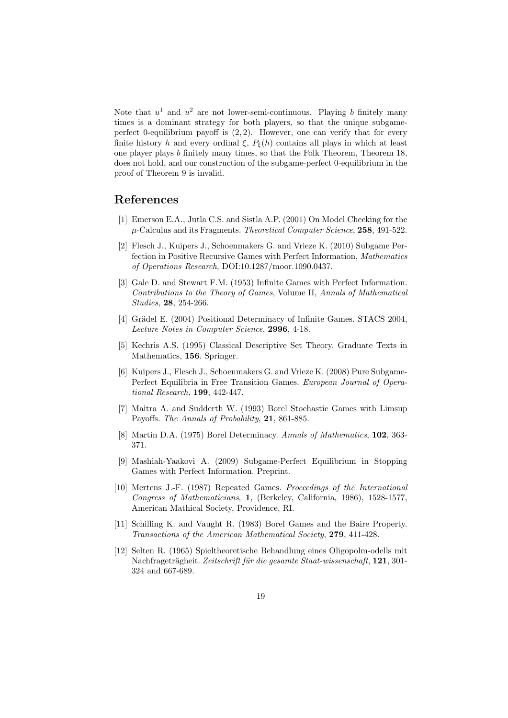Note that  $u^1$  and  $u^2$  are not lower-semi-continuous. Playing b finitely many times is a dominant strategy for both players, so that the unique subgameperfect 0-equilibrium payoff is  $(2, 2)$ . However, one can verify that for every finite history h and every ordinal  $\xi$ ,  $P_{\xi}(h)$  contains all plays in which at least one player plays b finitely many times, so that the Folk Theorem, Theorem 18, does not hold, and our construction of the subgame-perfect 0-equilibrium in the proof of Theorem 9 is invalid.

# References

- [1] Emerson E.A., Jutla C.S. and Sistla A.P. (2001) On Model Checking for the  $\mu$ -Calculus and its Fragments. Theoretical Computer Science, 258, 491-522.
- [2] Flesch J., Kuipers J., Schoenmakers G. and Vrieze K. (2010) Subgame Perfection in Positive Recursive Games with Perfect Information, Mathematics of Operations Research, DOI:10.1287/moor.1090.0437.
- [3] Gale D. and Stewart F.M. (1953) Infinite Games with Perfect Information. Contributions to the Theory of Games, Volume II, Annals of Mathematical Studies, 28, 254-266.
- [4] Grädel E. (2004) Positional Determinacy of Infinite Games. STACS 2004, Lecture Notes in Computer Science, 2996, 4-18.
- [5] Kechris A.S. (1995) Classical Descriptive Set Theory. Graduate Texts in Mathematics, 156. Springer.
- [6] Kuipers J., Flesch J., Schoenmakers G. and Vrieze K. (2008) Pure Subgame-Perfect Equilibria in Free Transition Games. European Journal of Operational Research, 199, 442-447.
- [7] Maitra A. and Sudderth W. (1993) Borel Stochastic Games with Limsup Payoffs. The Annals of Probability, 21, 861-885.
- [8] Martin D.A. (1975) Borel Determinacy. Annals of Mathematics, 102, 363- 371.
- [9] Mashiah-Yaakovi A. (2009) Subgame-Perfect Equilibrium in Stopping Games with Perfect Information. Preprint.
- [10] Mertens J.-F. (1987) Repeated Games. Proceedings of the International Congress of Mathematicians, 1, (Berkeley, California, 1986), 1528-1577, American Mathical Society, Providence, RI.
- [11] Schilling K. and Vaught R. (1983) Borel Games and the Baire Property. Transactions of the American Mathematical Society, 279, 411-428.
- [12] Selten R. (1965) Spieltheoretische Behandlung eines Oligopolm-odells mit Nachfrageträgheit. Zeitschrift für die gesamte Staat-wissenschaft, 121, 301-324 and 667-689.